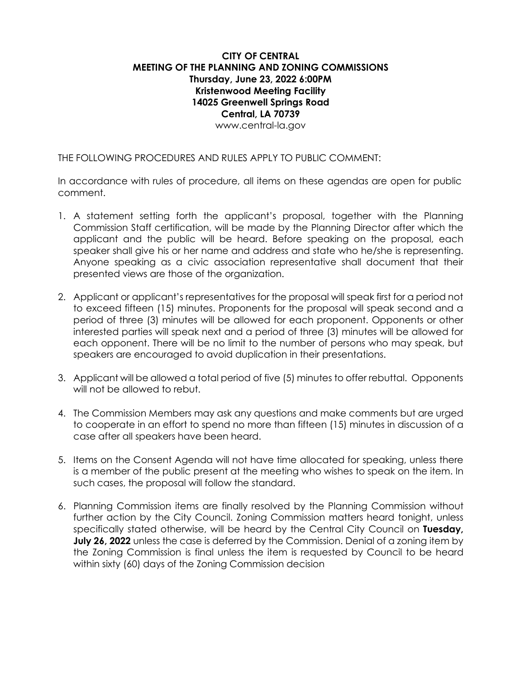## **CITY OF CENTRAL MEETING OF THE PLANNING AND ZONING COMMISSIONS Thursday, June 23, 2022 6:00PM Kristenwood Meeting Facility 14025 Greenwell Springs Road Central, LA 70739** [www.central-la.gov](http://www.central-la.gov/)

THE FOLLOWING PROCEDURES AND RULES APPLY TO PUBLIC COMMENT:

In accordance with rules of procedure, all items on these agendas are open for public comment.

- 1. A statement setting forth the applicant's proposal, together with the Planning Commission Staff certification, will be made by the Planning Director after which the applicant and the public will be heard. Before speaking on the proposal, each speaker shall give his or her name and address and state who he/she is representing. Anyone speaking as a civic association representative shall document that their presented views are those of the organization.
- 2. Applicant or applicant's representatives for the proposal will speak first for a period not to exceed fifteen (15) minutes. Proponents for the proposal will speak second and a period of three (3) minutes will be allowed for each proponent. Opponents or other interested parties will speak next and a period of three (3) minutes will be allowed for each opponent. There will be no limit to the number of persons who may speak, but speakers are encouraged to avoid duplication in their presentations.
- 3. Applicant will be allowed a total period of five (5) minutes to offer rebuttal. Opponents will not be allowed to rebut.
- 4. The Commission Members may ask any questions and make comments but are urged to cooperate in an effort to spend no more than fifteen (15) minutes in discussion of a case after all speakers have been heard.
- 5. Items on the Consent Agenda will not have time allocated for speaking, unless there is a member of the public present at the meeting who wishes to speak on the item. In such cases, the proposal will follow the standard.
- 6. Planning Commission items are finally resolved by the Planning Commission without further action by the City Council. Zoning Commission matters heard tonight, unless specifically stated otherwise, will be heard by the Central City Council on **Tuesday, July 26, 2022** unless the case is deferred by the Commission. Denial of a zoning item by the Zoning Commission is final unless the item is requested by Council to be heard within sixty (60) days of the Zoning Commission decision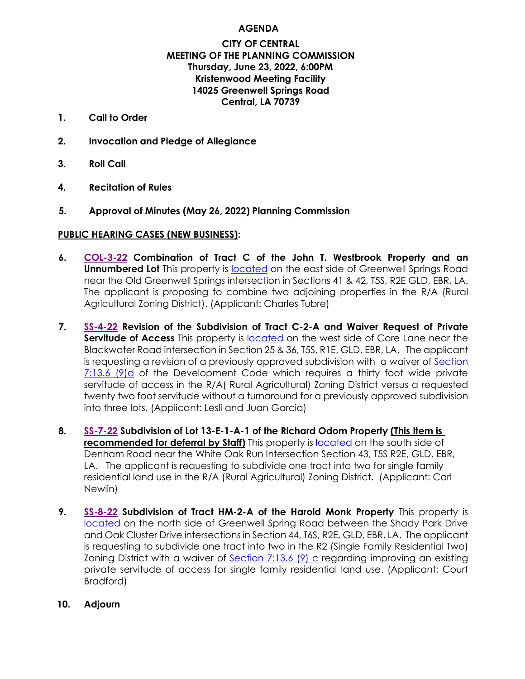# **AGENDA**

## **CITY OF CENTRAL MEETING OF THE PLANNING COMMISSION Thursday, June 23, 2022, 6:00PM Kristenwood Meeting Facility 14025 Greenwell Springs Road Central, LA 70739**

- **1. Call to Order**
- **2. Invocation and Pledge of Allegiance**
- **3. Roll Call**
- **4. Recitation of Rules**
- **5. Approval of Minutes (May 26, 2022) Planning Commission**

# **PUBLIC HEARING CASES (NEW BUSINESS):**

- **6. [COL-3-22](https://1872b029-c585-4faf-a7cd-f2cddca3bb7b.usrfiles.com/ugd/1872b0_346a0cab570243f79f4150c4b4b5edb0.pdf) Combination of Tract C of the John T. Westbrook Property and an Unnumbered Lot** This property is [located](https://arcg.is/1uXWOv) on the east side of Greenwell Springs Road near the Old Greenwell Springs intersection in Sections 41 & 42, T5S, R2E GLD, EBR, LA. The applicant is proposing to combine two adjoining properties in the R/A (Rural Agricultural Zoning District). (Applicant: Charles Tubre)
- **7. [SS-4-22](https://1872b029-c585-4faf-a7cd-f2cddca3bb7b.usrfiles.com/ugd/1872b0_ef9634f4df0a4bafb5cb7492639666e7.pdf) Revision of the Subdivision of Tract C-2-A and Waiver Request of Private Servitude of Access** This property is [located](https://arcg.is/1mefmK0) on the west side of Core Lane near the Blackwater Road intersection in Section 25 & 36, T5S, R1E, GLD, EBR, LA. The applicant is requesting a revision of a previously approved subdivision with a waiver of [Section](https://library.municode.com/la/central/codes/code_of_ordinances?nodeId=TIT7DECO_CH13STSI_S7_13.6STSIIMST)  [7:13.6 \(9\)d](https://library.municode.com/la/central/codes/code_of_ordinances?nodeId=TIT7DECO_CH13STSI_S7_13.6STSIIMST) of the Development Code which requires a thirty foot wide private servitude of access in the R/A( Rural Agricultural) Zoning District versus a requested twenty two foot servitude without a turnaround for a previously approved subdivision into three lots. (Applicant: Lesli and Juan Garcia)
- **8. [SS-7-22](https://1872b029-c585-4faf-a7cd-f2cddca3bb7b.usrfiles.com/ugd/1872b0_a79857afe45b443b8ca7bdab1661fcc9.pdf) Subdivision of Lot 13-E-1-A-1 of the Richard Odom Property (This Item is recommended for deferral by Staff)** This property is [located](https://arcg.is/0ry18u) on the south side of Denham Road near the White Oak Run Intersection Section 43, T5S R2E, GLD, EBR, LA. The applicant is requesting to subdivide one tract into two for single family residential land use in the R/A (Rural Agricultural) Zoning District**.** (Applicant: Carl Newlin)
- **9. [SS-8-22](https://1872b029-c585-4faf-a7cd-f2cddca3bb7b.usrfiles.com/ugd/1872b0_1eac2c0e554a4e7aa23756d4593af6f3.pdf) Subdivision of Tract HM-2-A of the Harold Monk Property** This property is [located](https://arcg.is/1vP5iy) on the north side of Greenwell Spring Road between the Shady Park Drive and Oak Cluster Drive intersections in Section 44, T6S, R2E, GLD, EBR, LA. The applicant is requesting to subdivide one tract into two in the R2 (Single Family Residential Two) Zoning District with a waiver of [Section 7:13.6 \(9\) c](https://library.municode.com/la/central/codes/code_of_ordinances?nodeId=TIT7DECO_CH13STSI_S7_13.6STSIIMST) regarding improving an existing private servitude of access for single family residential land use. (Applicant: Court Bradford)
- **10. Adjourn**